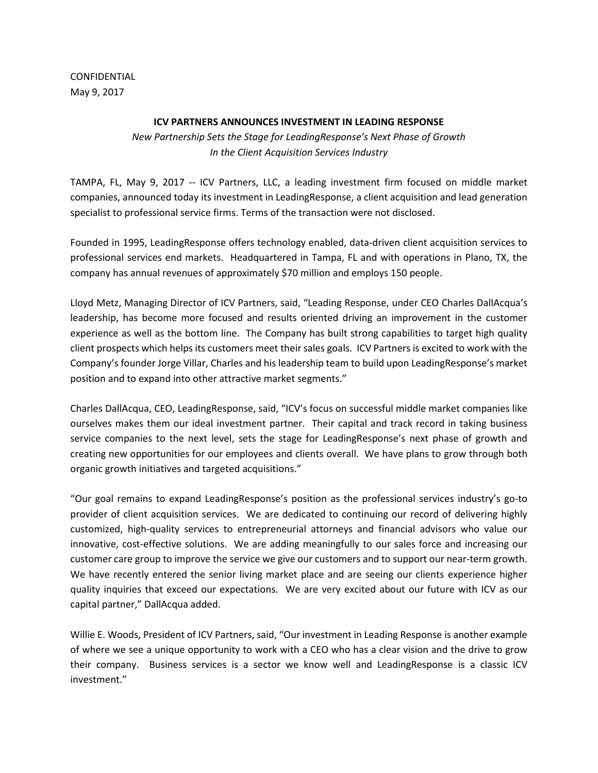CONFIDENTIAL May 9, 2017

## **ICV PARTNERS ANNOUNCES INVESTMENT IN LEADING RESPONSE**

*New Partnership Sets the Stage for LeadingResponse's Next Phase of Growth In the Client Acquisition Services Industry*

TAMPA, FL, May 9, 2017 -- ICV Partners, LLC, a leading investment firm focused on middle market companies, announced today its investment in LeadingResponse, a client acquisition and lead generation specialist to professional service firms. Terms of the transaction were not disclosed.

Founded in 1995, LeadingResponse offers technology enabled, data-driven client acquisition services to professional services end markets. Headquartered in Tampa, FL and with operations in Plano, TX, the company has annual revenues of approximately \$70 million and employs 150 people.

Lloyd Metz, Managing Director of ICV Partners, said, "Leading Response, under CEO Charles DallAcqua's leadership, has become more focused and results oriented driving an improvement in the customer experience as well as the bottom line. The Company has built strong capabilities to target high quality client prospects which helps its customers meet their sales goals. ICV Partners is excited to work with the Company's founder Jorge Villar, Charles and his leadership team to build upon LeadingResponse's market position and to expand into other attractive market segments."

Charles DallAcqua, CEO, LeadingResponse, said, "ICV's focus on successful middle market companies like ourselves makes them our ideal investment partner. Their capital and track record in taking business service companies to the next level, sets the stage for LeadingResponse's next phase of growth and creating new opportunities for our employees and clients overall. We have plans to grow through both organic growth initiatives and targeted acquisitions."

"Our goal remains to expand LeadingResponse's position as the professional services industry's go-to provider of client acquisition services. We are dedicated to continuing our record of delivering highly customized, high-quality services to entrepreneurial attorneys and financial advisors who value our innovative, cost-effective solutions. We are adding meaningfully to our sales force and increasing our customer care group to improve the service we give our customers and to support our near-term growth. We have recently entered the senior living market place and are seeing our clients experience higher quality inquiries that exceed our expectations. We are very excited about our future with ICV as our capital partner," DallAcqua added.

Willie E. Woods, President of ICV Partners, said, "Our investment in Leading Response is another example of where we see a unique opportunity to work with a CEO who has a clear vision and the drive to grow their company. Business services is a sector we know well and LeadingResponse is a classic ICV investment."